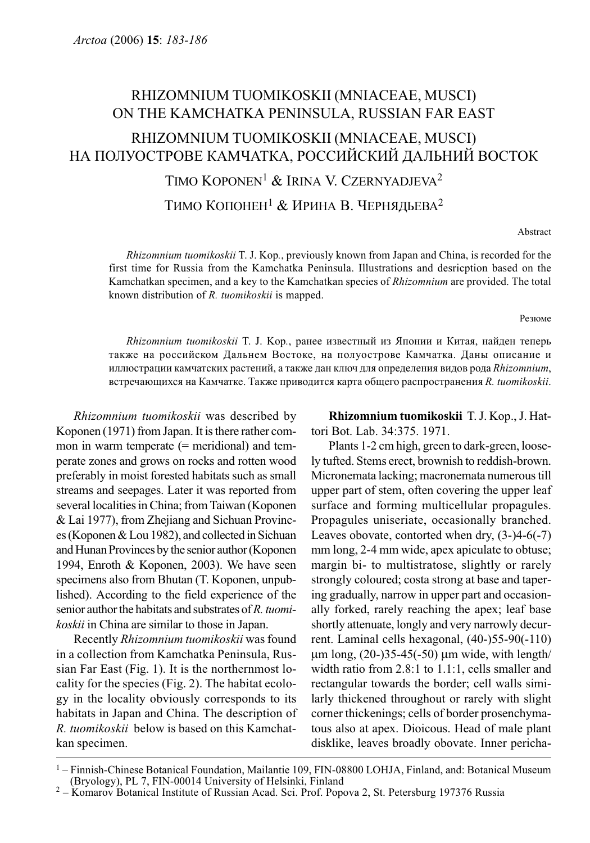# RHIZOMNIUM TUOMIKOSKII (MNIACEAE, MUSCI) ON THE KAMCHATKA PENINSULA, RUSSIAN FAR EAST

## RHIZOMNIUM TUOMIKOSKII (MNIACEAE, MUSCI) НА ПОЛУОСТРОВЕ КАМЧАТКА, РОССИЙСКИЙ ДАЛЬНИЙ ВОСТОК

TIMO KOPONEN<sup>1</sup> & IRINA V. CZERNYADJEVA<sup>2</sup>

ТИМО КОПОНЕН<sup>1</sup> & ИРИНА В. ЧЕРНЯДЬЕВА<sup>2</sup>

Abstract

Rhizomnium tuomikoskii T. J. Kop., previously known from Japan and China, is recorded for the first time for Russia from the Kamchatka Peninsula. Illustrations and desricption based on the Kamchatkan specimen, and a key to the Kamchatkan species of Rhizomnium are provided. The total known distribution of R. tuomikoskii is mapped.

Резюме

Rhizomnium tuomikoskii T. J. Kop., ранее известный из Японии и Китая, найден теперь также на российском Дальнем Востоке, на полуострове Камчатка. Даны описание и иллюстрации камчатских растений, а также дан ключ для определения видов рода Rhizomnium, встречающихся на Камчатке. Также приводится карта общего распространения  $R$ . tuomikoskii.

Rhizomnium tuomikoskii was described by Koponen (1971) from Japan. It is there rather common in warm temperate (= meridional) and temperate zones and grows on rocks and rotten wood preferably in moist forested habitats such as small streams and seepages. Later it was reported from several localities in China; from Taiwan (Koponen & Lai 1977), from Zhejiang and Sichuan Provinces (Koponen & Lou 1982), and collected in Sichuan and Hunan Provinces by the senior author (Koponen 1994, Enroth & Koponen, 2003). We have seen specimens also from Bhutan (T. Koponen, unpublished). According to the field experience of the senior author the habitats and substrates of R. tuomikoskii in China are similar to those in Japan.

Recently Rhizomnium tuomikoskii was found in a collection from Kamchatka Peninsula, Russian Far East (Fig. 1). It is the northernmost locality for the species (Fig. 2). The habitat ecology in the locality obviously corresponds to its habitats in Japan and China. The description of R. tuomikoskii below is based on this Kamchatkan specimen.

Rhizomnium tuomikoskii T. J. Kop., J. Hattori Bot. Lab. 34:375. 1971.

Plants 1-2 cm high, green to dark-green, loosely tufted. Stems erect, brownish to reddish-brown. Micronemata lacking; macronemata numerous till upper part of stem, often covering the upper leaf surface and forming multicellular propagules. Propagules uniseriate, occasionally branched. Leaves obovate, contorted when dry, (3-)4-6(-7) mm long, 2-4 mm wide, apex apiculate to obtuse; margin bi- to multistratose, slightly or rarely strongly coloured; costa strong at base and tapering gradually, narrow in upper part and occasionally forked, rarely reaching the apex; leaf base shortly attenuate, longly and very narrowly decurrent. Laminal cells hexagonal, (40-)55-90(-110) μm long,  $(20-)35-45(-50)$  μm wide, with length/ width ratio from 2.8:1 to 1.1:1, cells smaller and rectangular towards the border; cell walls similarly thickened throughout or rarely with slight corner thickenings; cells of border prosenchymatous also at apex. Dioicous. Head of male plant disklike, leaves broadly obovate. Inner pericha-

<sup>&</sup>lt;sup>1</sup> – Finnish-Chinese Botanical Foundation, Mailantie 109, FIN-08800 LOHJA, Finland, and: Botanical Museum (Bryology), PL 7, FIN-00014 University of Helsinki, Finland

 $h^2$  – Komarov Botanical Institute of Russian Acad. Sci. Prof. Popova 2, St. Petersburg 197376 Russia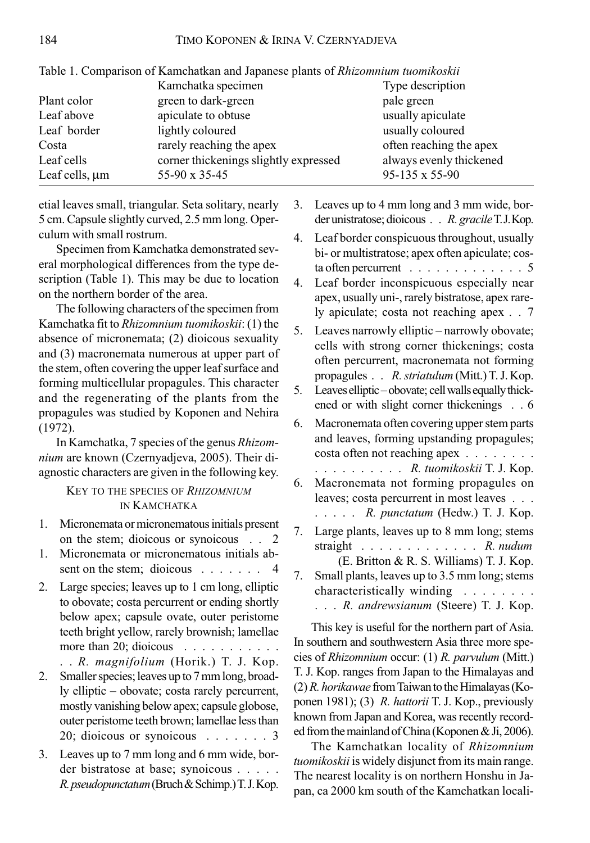|                     | Twore it compained of realitements and espainese praine of functional monetary |                         |  |  |
|---------------------|--------------------------------------------------------------------------------|-------------------------|--|--|
|                     | Kamchatka specimen                                                             | Type description        |  |  |
| Plant color         | green to dark-green                                                            | pale green              |  |  |
| Leaf above          | apiculate to obtuse                                                            | usually apiculate       |  |  |
| Leaf border         | lightly coloured                                                               | usually coloured        |  |  |
| Costa               | rarely reaching the apex                                                       | often reaching the apex |  |  |
| Leaf cells          | corner thickenings slightly expressed                                          | always evenly thickened |  |  |
| Leaf cells, $\mu$ m | 55-90 x 35-45                                                                  | 95-135 x 55-90          |  |  |
|                     |                                                                                |                         |  |  |

| Table 1. Comparison of Kamchatkan and Japanese plants of <i>Rhizomnium tuomikoskii</i> |  |  |  |  |  |
|----------------------------------------------------------------------------------------|--|--|--|--|--|
|----------------------------------------------------------------------------------------|--|--|--|--|--|

etial leaves small, triangular. Seta solitary, nearly 5 cm. Capsule slightly curved, 2.5 mm long. Operculum with small rostrum.

Specimen from Kamchatka demonstrated several morphological differences from the type description (Table 1). This may be due to location on the northern border of the area.

The following characters of the specimen from Kamchatka fit to Rhizomnium tuomikoskii: (1) the absence of micronemata; (2) dioicous sexuality and (3) macronemata numerous at upper part of the stem, often covering the upper leaf surface and forming multicellular propagules. This character and the regenerating of the plants from the propagules was studied by Koponen and Nehira (1972).

In Kamchatka, 7 species of the genus Rhizomnium are known (Czernyadjeva, 2005). Their diagnostic characters are given in the following key.

### KEY TO THE SPECIES OF RHIZOMNIUM IN KAMCHATKA

- 1. Micronemata or micronematous initials present on the stem; dioicous or synoicous . . 2
- 1. Micronemata or micronematous initials absent on the stem; dioicous .......
- 2. Large species; leaves up to 1 cm long, elliptic to obovate; costa percurrent or ending shortly below apex; capsule ovate, outer peristome teeth bright yellow, rarely brownish; lamellae more than 20; dioicous . . . . . . . . . . .

```
. . R. magnifolium (Horik.) T. J. Kop.
```
- 2. Smaller species; leaves up to 7 mm long, broadly elliptic – obovate; costa rarely percurrent, mostly vanishing below apex; capsule globose, outer peristome teeth brown; lamellae less than 20; dioicous or synoicous . ......3
- 3. Leaves up to 7 mm long and 6 mm wide, border bistratose at base; synoicous . . . . . R. pseudopunctatum (Bruch & Schimp.) T. J. Kop.
- 3. Leaves up to 4 mm long and 3 mm wide, border unistratose; dioicous . . R. gracile T.J. Kop.
- 4. Leaf border conspicuous throughout, usually bi- or multistratose; apex often apiculate; costa often percurrent  $\ldots \ldots \ldots$
- 4. Leaf border inconspicuous especially near apex, usually uni-, rarely bistratose, apex rarely apiculate; costa not reaching apex . . 7
- 5. Leaves narrowly elliptic narrowly obovate; cells with strong corner thickenings; costa often percurrent, macronemata not forming propagules . . R. striatulum (Mitt.) T. J. Kop.
- 5. Leaves elliptic obovate; cell walls equally thickened or with slight corner thickenings . . 6
- 6. Macronemata often covering upper stem parts and leaves, forming upstanding propagules; costa often not reaching apex . . . . . . . .
- .......... *R. tuomikoskii* T. J. Kop. 6. Macronemata not forming propagules on leaves; costa percurrent in most leaves . . . ..... R. punctatum (Hedw.) T. J. Kop.
- 7. Large plants, leaves up to 8 mm long; stems straight  $\ldots$ , . . . . . . . . . R. nudum (E. Britton & R. S. Williams) T. J. Kop.
- 7. Small plants, leaves up to 3.5 mm long; stems characteristically winding . . . . . . . . ... R. andrewsianum (Steere) T. J. Kop.

This key is useful for the northern part of Asia. In southern and southwestern Asia three more species of Rhizomnium occur: (1) R. parvulum (Mitt.) T. J. Kop. ranges from Japan to the Himalayas and (2) R. horikawae from Taiwan to the Himalayas (Koponen 1981); (3) R. hattorii T. J. Kop., previously known from Japan and Korea, was recently recorded from the mainland of China (Koponen & Ji, 2006).

The Kamchatkan locality of Rhizomnium tuomikoskii is widely disjunct from its main range. The nearest locality is on northern Honshu in Japan, ca 2000 km south of the Kamchatkan locali-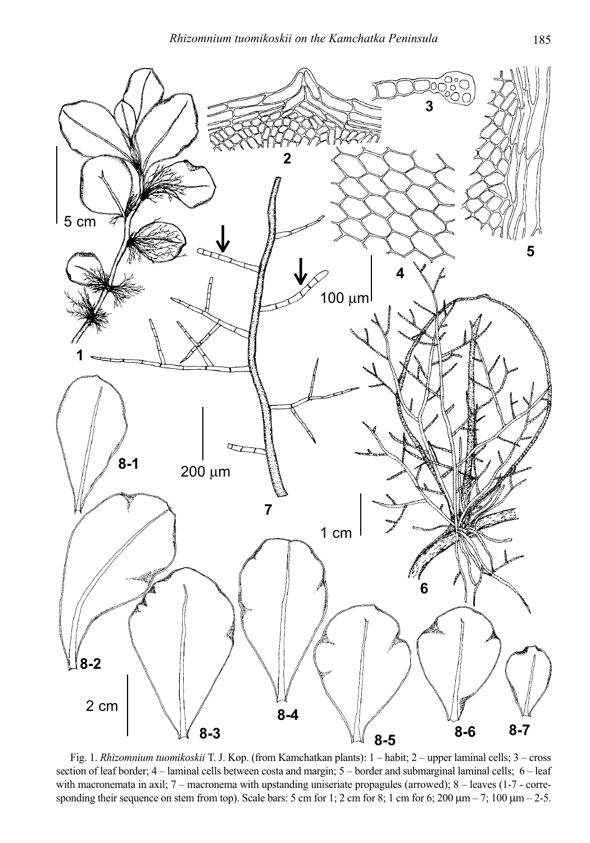

Fig. 1. Rhizomnium tuomikoskii T. J. Kop. (from Kamchatkan plants): 1 – habit; 2 – upper laminal cells; 3 – cross section of leaf border; 4 – laminal cells between costa and margin; 5 – border and submarginal laminal cells; 6 – leaf with macronemata in axil; 7 – macronema with upstanding uniseriate propagules (arrowed); 8 – leaves (1-7 - corresponding their sequence on stem from top). Scale bars: 5 cm for 1; 2 cm for 8; 1 cm for 6; 200  $\mu$ m – 7; 100  $\mu$ m – 2-5.